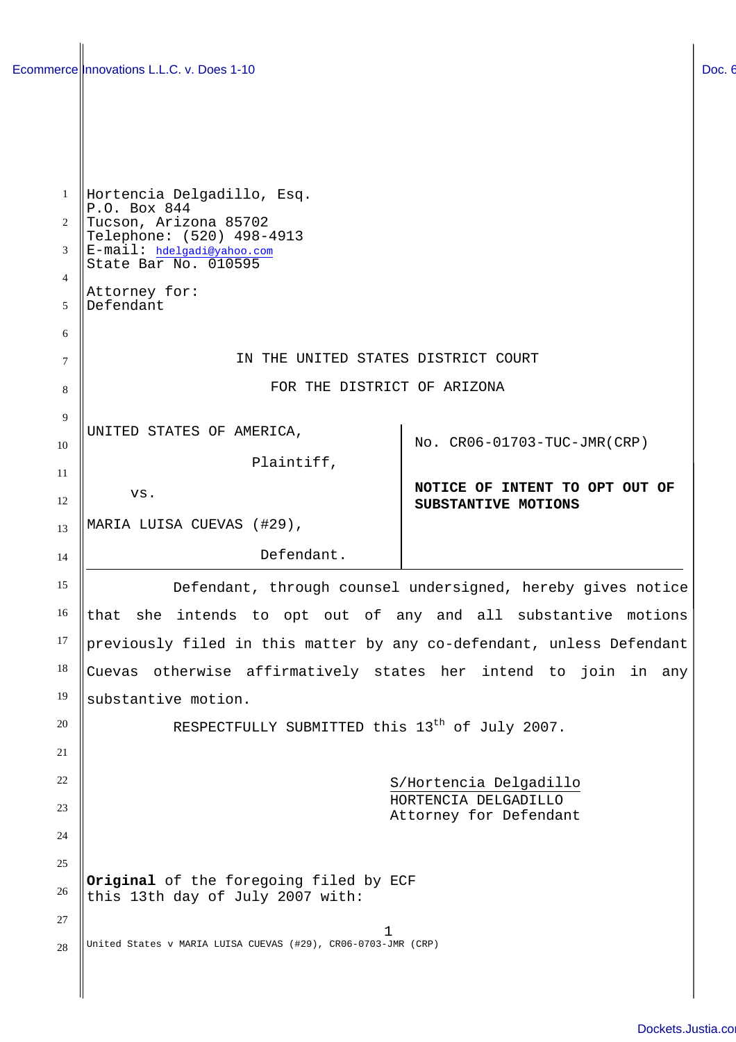| $\mathbf{1}$ | Hortencia Delgadillo, Esq.                                            |                                |
|--------------|-----------------------------------------------------------------------|--------------------------------|
| 2            | P.O. Box 844<br>Tucson, Arizona 85702                                 |                                |
| 3            | Telephone: (520) 498-4913<br>E-mail: hdelgadi@yahoo.com               |                                |
| 4            | State Bar No. 010595                                                  |                                |
| 5            | Attorney for:<br>Defendant                                            |                                |
| 6            |                                                                       |                                |
| 7            | IN THE UNITED STATES DISTRICT COURT                                   |                                |
| 8            | FOR THE DISTRICT OF ARIZONA                                           |                                |
| 9            | UNITED STATES OF AMERICA,                                             |                                |
| 10           |                                                                       | No. CR06-01703-TUC-JMR(CRP)    |
| 11           | Plaintiff,                                                            | NOTICE OF INTENT TO OPT OUT OF |
| 12           | VS.                                                                   | SUBSTANTIVE MOTIONS            |
| 13           | MARIA LUISA CUEVAS (#29),                                             |                                |
| 14           | Defendant.                                                            |                                |
| 15           | Defendant, through counsel undersigned, hereby gives notice           |                                |
| 16           | that she intends to opt out of any and all substantive motions        |                                |
| 17           | previously filed in this matter by any co-defendant, unless Defendant |                                |
| 18           | Cuevas otherwise affirmatively states her intend to join in any       |                                |
| 19           | substantive motion.                                                   |                                |
| 20           | RESPECTFULLY SUBMITTED this 13 <sup>th</sup> of July 2007.            |                                |
| 21           |                                                                       |                                |
| 22           | S/Hortencia Delgadillo<br>HORTENCIA DELGADILLO                        |                                |
| 23           | Attorney for Defendant                                                |                                |
| 24           |                                                                       |                                |
| 25           | Original of the foregoing filed by ECF                                |                                |
| 26           | this 13th day of July 2007 with:                                      |                                |
| 27<br>28     | 1<br>United States v MARIA LUISA CUEVAS (#29), CR06-0703-JMR (CRP)    |                                |
|              |                                                                       |                                |
|              |                                                                       |                                |